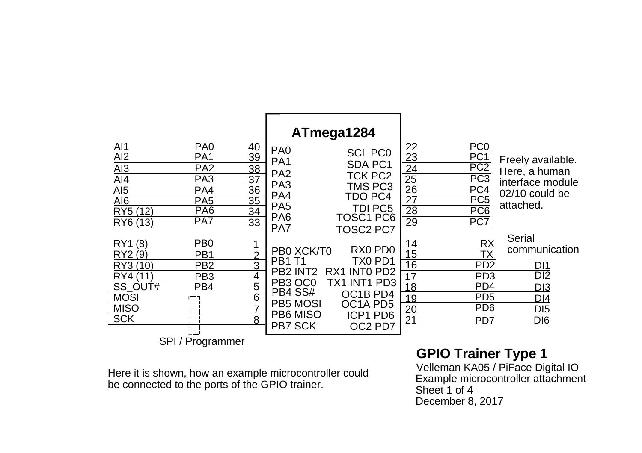

Here it is shown, how an example microcontroller could be connected to the ports of the GPIO trainer.

## **GPIO Trainer Type 1**

Velleman KA05 / PiFace Digital IO Example microcontroller attachment Sheet 1 of 4December 8, 2017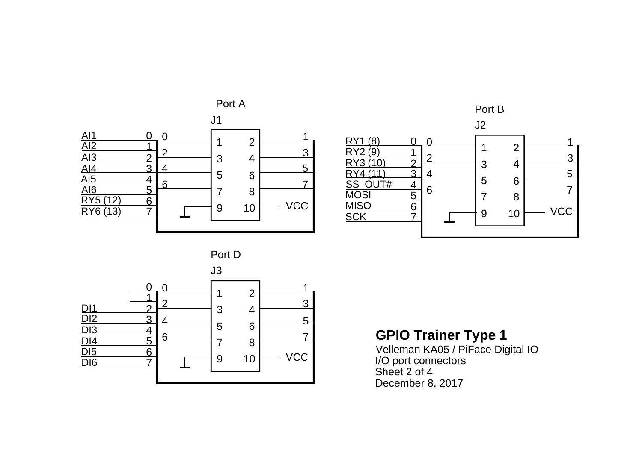





## **GPIO Trainer Type 1**

Velleman KA05 / PiFace Digital IO I/O port connectors Sheet 2 of 4 December 8, 2017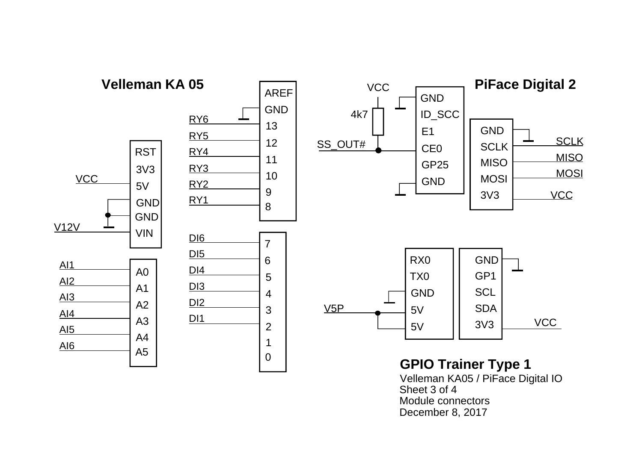

Velleman KA05 / PiFace Digital IO Sheet 3 of 4Module connectorsDecember 8, 2017